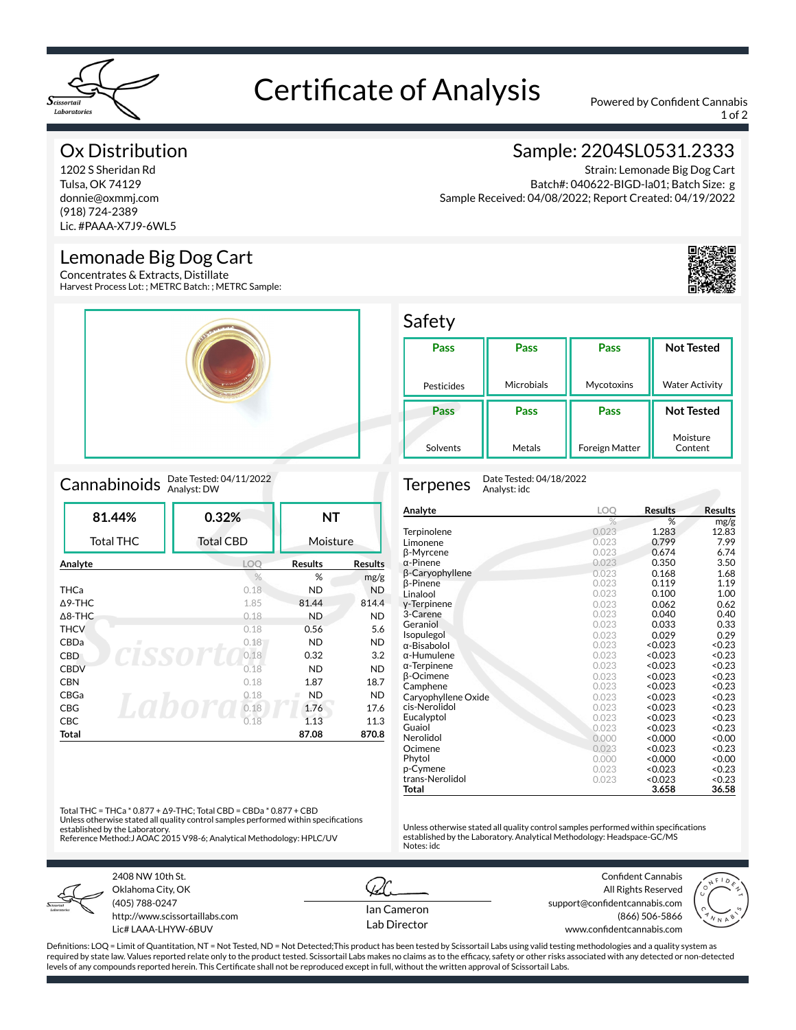

# Certificate of Analysis Powered by Confident Cannabis

1 of 2

### Ox Distribution

1202 S Sheridan Rd Tulsa, OK 74129 donnie@oxmmj.com (918) 724-2389 Lic. #PAAA-X7J9-6WL5

### Lemonade Big Dog Cart

Concentrates & Extracts, Distillate Harvest Process Lot: ; METRC Batch: ; METRC Sample:



## Cannabinoids Date Tested: 04/11/2022

| 81.44%            | 0.32%            | ΝT             |                |
|-------------------|------------------|----------------|----------------|
| <b>Total THC</b>  | <b>Total CBD</b> | Moisture       |                |
| Analyte           | LOO              | <b>Results</b> | <b>Results</b> |
|                   | $\frac{0}{0}$    | %              | mg/g           |
| <b>THCa</b>       | 0.18             | <b>ND</b>      | <b>ND</b>      |
| $\triangle$ 9-THC | 1.85             | 81.44          | 814.4          |
| $\triangle$ 8-THC | 0.18             | <b>ND</b>      | <b>ND</b>      |
| <b>THCV</b>       | 0.18             | 0.56           | 5.6            |
| CBDa<br>п         | 0.18             | <b>ND</b>      | <b>ND</b>      |
| <b>CBD</b>        | 0.18             | 0.32           | 3.2            |
| <b>CBDV</b>       | 0.18             | <b>ND</b>      | <b>ND</b>      |
| <b>CBN</b>        | 0.18             | 1.87           | 18.7           |
| CBGa              | 0.18             | <b>ND</b>      | <b>ND</b>      |
| <b>CBG</b>        | 0.18             | 1.76           | 17.6           |
| <b>CBC</b>        | 0.18             | 1.13           | 11.3           |
| Total             |                  | 87.08          | 870.8          |

### Sample: 2204SL0531.2333

Strain: Lemonade Big Dog Cart Batch#: 040622-BIGD-la01; Batch Size: g Sample Received: 04/08/2022; Report Created: 04/19/2022



#### Safety

| Pass       | Pass       | Pass           | <b>Not Tested</b>     |
|------------|------------|----------------|-----------------------|
| Pesticides | Microbials | Mycotoxins     | <b>Water Activity</b> |
| Pass       | Pass       | Pass           | <b>Not Tested</b>     |
| Solvents   | Metals     | Foreign Matter | Moisture<br>Content   |

Terpenes Date Tested: 04/18/2022 Analyst: idc

| Analyte             | LOO   | Results       | <b>Results</b>    |
|---------------------|-------|---------------|-------------------|
|                     | %     | %             | mg/g              |
| Terpinolene         | 0.023 | 1.283         | 12.83             |
| Limonene            | 0.023 | 0.799         | 7.99              |
| β-Myrcene           | 0.023 | 0.674         | 6.74              |
| $\alpha$ -Pinene    | 0.023 | 0.350         | 3.50              |
| β-Caryophyllene     | 0.023 | 0.168         | 1.68              |
| β-Pinene            | 0.023 | 0.119         | 1.19              |
| Linalool            | 0.023 | 0.100         | 1.00              |
| y-Terpinene         | 0.023 | 0.062         | 0.62              |
| 3-Carene            | 0.023 | 0.040         | 0.40              |
| Geraniol            | 0.023 | 0.033         | 0.33              |
| Isopulegol          | 0.023 | 0.029         | 0.29              |
| $\alpha$ -Bisabolol | 0.023 | < 0.023       | < 0.23            |
| $\alpha$ -Humulene  | 0.023 | < 0.023       | < 0.23            |
| $\alpha$ -Terpinene | 0.023 | < 0.023       | < 0.23            |
| <b>B-Ocimene</b>    | 0.023 | < 0.023       | < 0.23            |
| Camphene            | 0.023 | < 0.023       | < 0.23            |
| Caryophyllene Oxide | 0.023 | < 0.023       | < 0.23            |
| cis-Nerolidol       | 0.023 | < 0.023       | < 0.23            |
| Eucalyptol          | 0.023 | <0.023        | < 0.23            |
| Guaiol              | 0.023 | < 0.023       | < 0.23            |
| Nerolidol           | 0.000 | $0.000\times$ | 0.00 <sub>2</sub> |
| Ocimene             | 0.023 | < 0.023       | < 0.23            |
| Phytol              | 0.000 | $0.000\times$ | 0.00 <sub>2</sub> |
| p-Cymene            | 0.023 | < 0.023       | < 0.23            |
| trans-Nerolidol     | 0.023 | < 0.023       | < 0.23            |
| Total               |       | 3.658         | 36.58             |

Unless otherwise stated all quality control samples performed within specifications established by the Laboratory. Analytical Methodology: Headspace-GC/MS

Total THC = THCa \* 0.877 + Δ9-THC; Total CBD = CBDa \* 0.877 + CBD Unless otherwise stated all quality control samples performed within specifications established by the Laboratory. Reference Method:J AOAC 2015 V98-6; Analytical Methodology: HPLC/UV



2408 NW 10th St. Oklahoma City, OK (405) 788-0247 http://www.scissortaillabs.com Lic# LAAA-LHYW-6BUV

Ian Cameron Lab Director

Notes: idc

Confident Cannabis All Rights Reserved support@confidentcannabis.com (866) 506-5866 www.confidentcannabis.com



Definitions: LOQ = Limit of Quantitation, NT = Not Tested, ND = Not Detected;This product has been tested by Scissortail Labs using valid testing methodologies and a quality system as required by state law. Values reported relate only to the product tested. Scissortail Labs makes no claims as to the efficacy, safety or other risks associated with any detected or non-detected levels of any compounds reported herein. This Certificate shall not be reproduced except in full, without the written approval of Scissortail Labs.